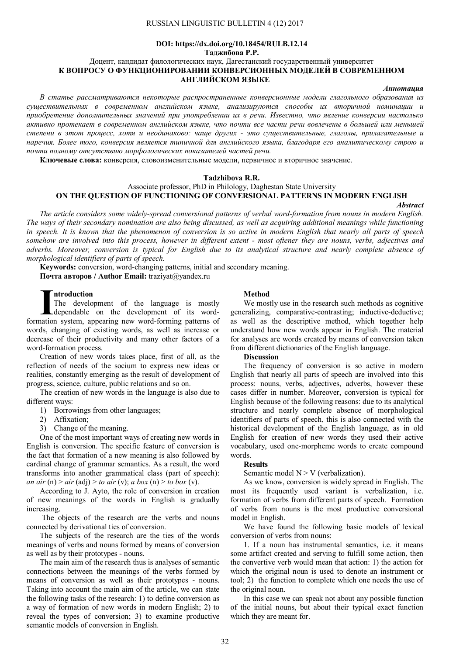#### **DOI: https://dx.doi.org/10.18454/RULB.12.14 Таджибова Р.Р.**

# Доцент, кандидат филологических наук, Дагестанский государственный университет **К ВОПРОСУ О ФУНКЦИОНИРОВАНИИ КОНВЕРСИОННЫХ МОДЕЛЕЙ В СОВРЕМЕННОМ АНГЛИЙСКОМ ЯЗЫКЕ**

#### *Аннотация*

*В статье рассматриваются некоторые распространенные конверсионные модели глагольного образования из существительных в современном английском языке, анализируются способы их вторичной номинации и приобретение дополнительных значений при употреблении их в речи. Известно, что явление конверсии настолько активно протекает в современном английском языке, что почти все части речи вовлечены в большей или меньшей степени в этот процесс, хотя и неодинаково: чаще других - это существительные, глаголы, прилагательные и наречия. Более того, конверсия является типичной для английского языка, благодаря его аналитическому строю и почти полному отсутствию морфологических показателей частей речи.*

**Ключевые слова:** конверсия, словоизменительные модели, первичное и вторичное значение.

#### **Tadzhibova R.R.**

# Associate professor, PhD in Philology, Daghestan State University **ON THE QUESTION OF FUNCTIONING OF CONVERSIONAL PATTERNS IN MODERN ENGLISH**

#### *Abstract*

*The article considers some widely-spread conversional patterns of verbal word-formation from nouns in modern English. The ways of their secondary nomination are also being discussed, as well as acquiring additional meanings while functioning in speech. It is known that the phenomenon of conversion is so active in modern English that nearly all parts of speech somehow are involved into this process, however in different extent - most oftener they are nouns, verbs, adjectives and adverbs. Moreover, conversion is typical for English due to its analytical structure and nearly complete absence of morphological identifiers of parts of speech.*

**Keywords:** conversion, word-changing patterns, initial and secondary meaning. **Почта авторов / Author Email:** traziyat@yandex.ru

## **ntroduction**

The development of the language is mostly dependable on the development of its word-**Fundation**<br>The development of the language is mostly<br>dependable on the development of its word-<br>formation system, appearing new word-forming patterns of words, changing of existing words, as well as increase or decrease of their productivity and many other factors of a word-formation process.

Creation of new words takes place, first of all, as the reflection of needs of the socium to express new ideas or realities, constantly emerging as the result of development of progress, science, culture, public relations and so on.

The creation of new words in the language is also due to different ways:

1) Borrowings from other languages;

2) Affixation;

3) Change of the meaning.

One of the most important ways of creating new words in English is conversion. The specific feature of conversion is the fact that formation of a new meaning is also followed by cardinal change of grammar semantics. As a result, the word transforms into another grammatical class (part of speech): *an air* (n) > *air* (adj) > *to air* (v); *a box* (n) > *to box* (v).

According to J. Ayto, the role of conversion in creation of new meanings of the words in English is gradually increasing.

The objects of the research are the verbs and nouns connected by derivational ties of conversion.

The subjects of the research are the ties of the words meanings of verbs and nouns formed by means of conversion as well as by their prototypes - nouns.

The main aim of the research thus is analyses of semantic connections between the meanings of the verbs formed by means of conversion as well as their prototypes - nouns. Taking into account the main aim of the article, we can state the following tasks of the research: 1) to define conversion as a way of formation of new words in modern English; 2) to reveal the types of conversion; 3) to examine productive semantic models of conversion in English.

#### **Method**

We mostly use in the research such methods as cognitive generalizing, comparative-contrasting; inductive-deductive; as well as the descriptive method, which together help understand how new words appear in English. The material for analyses are words created by means of conversion taken from different dictionaries of the English language.

#### **Discussion**

The frequency of conversion is so active in modern English that nearly all parts of speech are involved into this process: nouns, verbs, adjectives, adverbs, however these cases differ in number. Moreover, conversion is typical for English because of the following reasons: due to its analytical structure and nearly complete absence of morphological identifiers of parts of speech, this is also connected with the historical development of the English language, as in old English for creation of new words they used their active vocabulary, used one-morpheme words to create compound words.

#### **Results**

Semantic model  $N > V$  (verbalization).

As we know, conversion is widely spread in English. The most its frequently used variant is verbalization, i.e. formation of verbs from different parts of speech. Formation of verbs from nouns is the most productive conversional model in English.

We have found the following basic models of lexical conversion of verbs from nouns:

1. If a noun has instrumental semantics, i.e. it means some artifact created and serving to fulfill some action, then the convertive verb would mean that action: 1) the action for which the original noun is used to denote an instrument or tool; 2) the function to complete which one needs the use of the original noun.

In this case we can speak not about any possible function of the initial nouns, but about their typical exact function which they are meant for.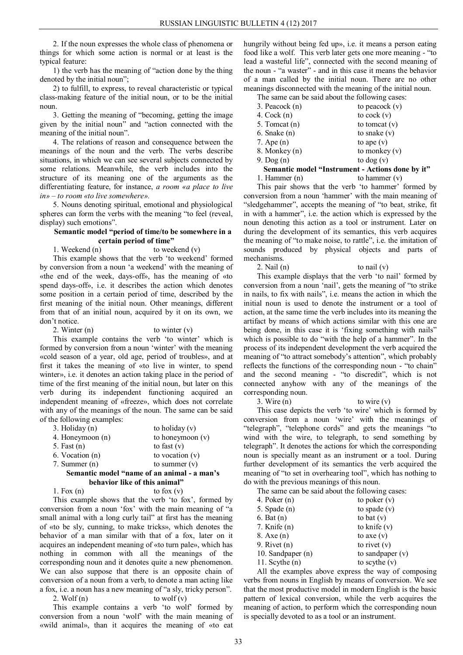2. If the noun expresses the whole class of phenomena or things for which some action is normal or at least is the typical feature:

1) the verb has the meaning of "action done by the thing denoted by the initial noun";

2) to fulfill, to express, to reveal characteristic or typical class-making feature of the initial noun, or to be the initial noun.

3. Getting the meaning of "becoming, getting the image given by the initial noun" and "action connected with the meaning of the initial noun".

4. The relations of reason and consequence between the meanings of the noun and the verb. The verbs describe situations, in which we can see several subjects connected by some relations. Meanwhile, the verb includes into the structure of its meaning one of the arguments as the differentiating feature, for instance, *a room «a place to live in» – to room «to live somewhere».*

5. Nouns denoting spiritual, emotional and physiological spheres can form the verbs with the meaning "to feel (reveal, display) such emotions".

## **Semantic model "period of time/to be somewhere in a certain period of time"**

1. Weekend (n) to weekend (v)

This example shows that the verb 'to weekend' formed by conversion from a noun 'a weekend' with the meaning of «the end of the week, days-off», has the meaning of «to spend days-off», i.e. it describes the action which denotes some position in a certain period of time, described by the first meaning of the initial noun. Other meanings, different from that of an initial noun, acquired by it on its own, we don't notice.

2. Winter  $(n)$  to winter  $(v)$ 

This example contains the verb 'to winter' which is formed by conversion from a noun 'winter' with the meaning «cold season of a year, old age, period of troubles», and at first it takes the meaning of «to live in winter, to spend winter», i.e. it denotes an action taking place in the period of time of the first meaning of the initial noun, but later on this verb during its independent functioning acquired an independent meaning of «freeze», which does not correlate with any of the meanings of the noun. The same can be said of the following examples:

| Semantic model "name of an animal - a man's |                    |  |
|---------------------------------------------|--------------------|--|
| 7. Summer $(n)$                             | to summer $(v)$    |  |
| 6. Vocation (n)                             | to vocation $(v)$  |  |
| 5. Fast $(n)$                               | to fast $(v)$      |  |
| 4. Honeymoon (n)                            | to honeymoon $(v)$ |  |
| $3.$ Holiday $(n)$                          | to holiday $(v)$   |  |
|                                             |                    |  |

# **behavior like of this animal"**

1. Fox  $(n)$  to fox  $(v)$ 

This example shows that the verb 'to fox', formed by conversion from a noun 'fox' with the main meaning of "a small animal with a long curly tail" at first has the meaning of «to be sly, cunning, to make tricks», which denotes the behavior of a man similar with that of a fox, later on it acquires an independent meaning of «to turn pale», which has nothing in common with all the meanings of the corresponding noun and it denotes quite a new phenomenon. We can also suppose that there is an opposite chain of conversion of a noun from a verb, to denote a man acting like a fox, i.e. a noun has a new meaning of "a sly, tricky person".

2. Wolf  $(n)$  to wolf  $(v)$ 

This example contains a verb 'to wolf' formed by conversion from a noun 'wolf' with the main meaning of «wild animal», than it acquires the meaning of «to eat

hungrily without being fed up», i.e. it means a person eating food like a wolf. This verb later gets one more meaning - "to lead a wasteful life", connected with the second meaning of the noun - "a waster" - and in this case it means the behavior of a man called by the initial noun. There are no other meanings disconnected with the meaning of the initial noun.

The same can be said about the following cases:

| 3. Peacock (n)   | to peacock $(v)$                                 |
|------------------|--------------------------------------------------|
| 4. $Cock(n)$     | to cock $(v)$                                    |
| 5. Tomcat (n)    | to tomcat $(v)$                                  |
| $6.$ Snake $(n)$ | to snake $(v)$                                   |
| 7. Ape $(n)$     | to ape $(v)$                                     |
| 8. Monkey (n)    | to monkey $(v)$                                  |
| $9.$ Dog $(n)$   | to dog $(v)$                                     |
|                  | Semantic model "Instrument - Actions done by it" |
| 1. Hammer $(n)$  | to hammer $(v)$                                  |

This pair shows that the verb 'to hammer' formed by conversion from a noun 'hammer' with the main meaning of "sledgehammer", accepts the meaning of "to beat, strike, fit in with a hammer", i.e. the action which is expressed by the noun denoting this action as a tool or instrument. Later on during the development of its semantics, this verb acquires the meaning of "to make noise, to rattle", i.e. the imitation of sounds produced by physical objects and parts of mechanisms.

## 2. Nail (n) to nail (v)

This example displays that the verb 'to nail' formed by conversion from a noun 'nail', gets the meaning of "to strike in nails, to fix with nails", i.e. means the action in which the initial noun is used to denote the instrument or a tool of action, at the same time the verb includes into its meaning the artifact by means of which actions similar with this one are being done, in this case it is 'fixing something with nails" which is possible to do "with the help of a hammer". In the process of its independent development the verb acquired the meaning of "to attract somebody's attention", which probably reflects the functions of the corresponding noun - "to chain" and the second meaning - "to discredit", which is not connected anyhow with any of the meanings of the corresponding noun.

 $3. \text{Wire}(\mathfrak{n})$  to wire  $(\mathfrak{v})$ 

This case depicts the verb 'to wire' which is formed by conversion from a noun 'wire' with the meanings of "telegraph", "telephone cords" and gets the meanings "to wind with the wire, to telegraph, to send something by telegraph". It denotes the actions for which the corresponding noun is specially meant as an instrument or a tool. During further development of its semantics the verb acquired the meaning of "to set in overhearing tool", which has nothing to do with the previous meanings of this noun.

The same can be said about the following cases:

| 4. Poker $(n)$      | to poker $(v)$     |
|---------------------|--------------------|
| 5. Spade $(n)$      | to spade $(v)$     |
| $6.$ Bat $(n)$      | to bat $(v)$       |
| 7. Knife $(n)$      | to knife $(v)$     |
| $8. \text{Axe} (n)$ | to axe $(v)$       |
| 9. Rivet $(n)$      | to rivet $(v)$     |
| 10. Sandpaper (n)   | to sandpaper $(v)$ |
| 11. Scythe $(n)$    | to scythe $(v)$    |
|                     |                    |

All the examples above express the way of composing verbs from nouns in English by means of conversion. We see that the most productive model in modern English is the basic pattern of lexical conversion, while the verb acquires the meaning of action, to perform which the corresponding noun is specially devoted to as a tool or an instrument.